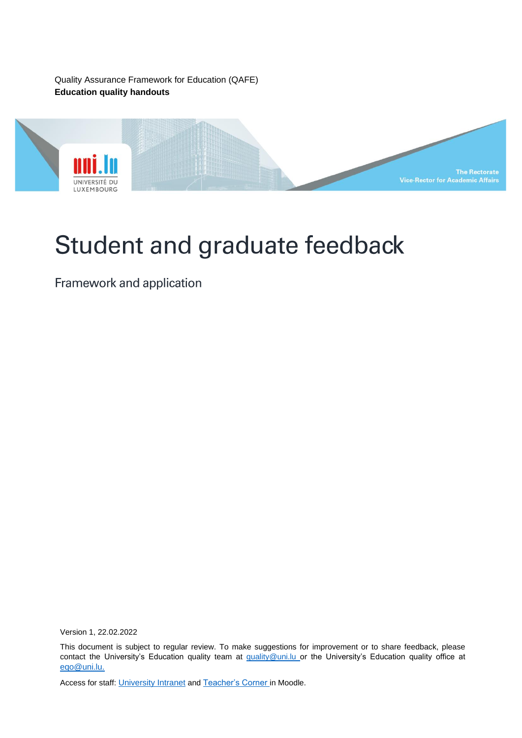Quality Assurance Framework for Education (QAFE) **Education quality handouts**



# Student and graduate feedback

Framework and application

Version 1, 22.02.2022

This document is subject to regular review. To make suggestions for improvement or to share feedback, please contact the University's Education quality team at [quality@uni.lu](mailto:quality@uni.lu) or the University's Education quality office at [eqo@uni.lu.](mailto:eqo@uni.lu)

Access for staff: [University Intranet](https://intranet.uni.lux/the_university/tr/Pages/VRA-Documents.aspx) and [Teacher's Corner](https://moodle.uni.lu/course/view.php?id=3319) in Moodle.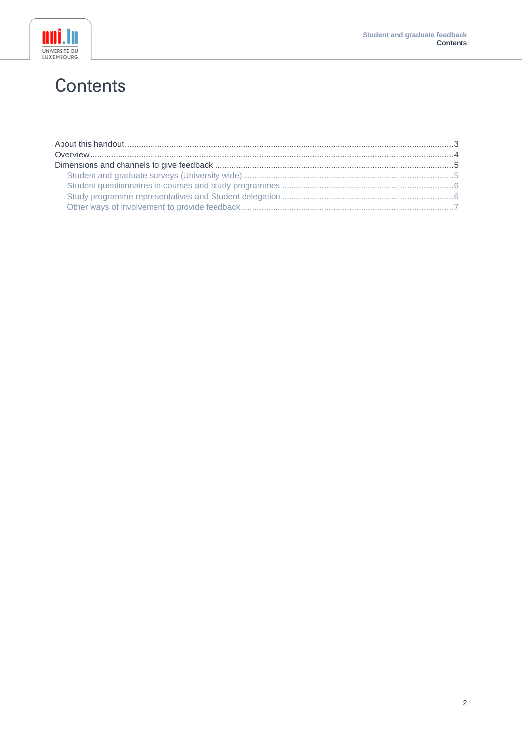

## **Contents**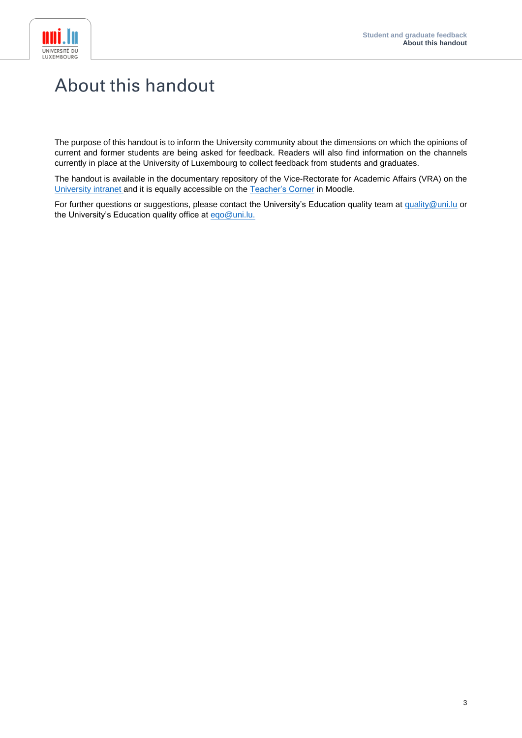

## <span id="page-2-0"></span>**About this handout**

The purpose of this handout is to inform the University community about the dimensions on which the opinions of current and former students are being asked for feedback. Readers will also find information on the channels currently in place at the University of Luxembourg to collect feedback from students and graduates.

The handout is available in the documentary repository of the Vice-Rectorate for Academic Affairs (VRA) on the [University intranet](https://intranet.uni.lux/the_university/tr/Pages/VRA-Documents.aspx) and it is equally accessible on the [Teacher's Corner](https://moodle.uni.lu/course/view.php?id=3319) in Moodle.

For further questions or suggestions, please contact the University's Education quality team at [quality@uni.lu](mailto:quality@uni.lu) or the University's Education quality office at [eqo@uni.lu.](mailto:eqo@uni.lu)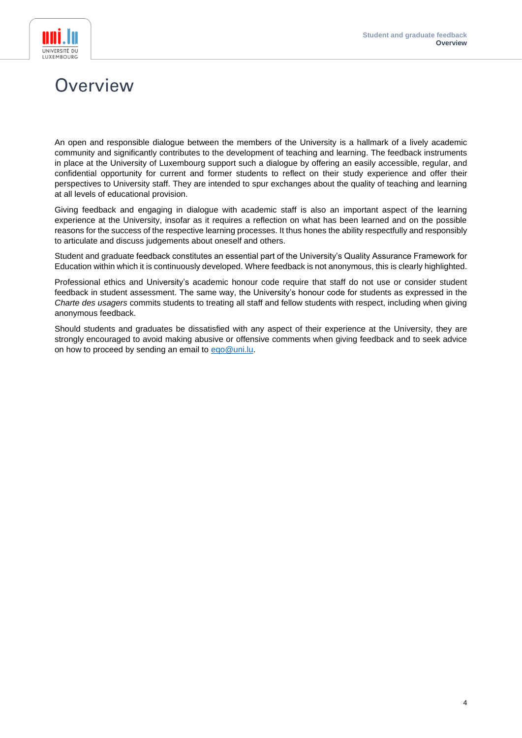



## <span id="page-3-0"></span>Overview

An open and responsible dialogue between the members of the University is a hallmark of a lively academic community and significantly contributes to the development of teaching and learning. The feedback instruments in place at the University of Luxembourg support such a dialogue by offering an easily accessible, regular, and confidential opportunity for current and former students to reflect on their study experience and offer their perspectives to University staff. They are intended to spur exchanges about the quality of teaching and learning at all levels of educational provision.

Giving feedback and engaging in dialogue with academic staff is also an important aspect of the learning experience at the University, insofar as it requires a reflection on what has been learned and on the possible reasons for the success of the respective learning processes. It thus hones the ability respectfully and responsibly to articulate and discuss judgements about oneself and others.

Student and graduate feedback constitutes an essential part of the University's Quality Assurance Framework for Education within which it is continuously developed. Where feedback is not anonymous, this is clearly highlighted.

Professional ethics and University's academic honour code require that staff do not use or consider student feedback in student assessment. The same way, the University's honour code for students as expressed in the *Charte des usagers* commits students to treating all staff and fellow students with respect, including when giving anonymous feedback.

Should students and graduates be dissatisfied with any aspect of their experience at the University, they are strongly encouraged to avoid making abusive or offensive comments when giving feedback and to seek advice on how to proceed by sending an email to [eqo@uni.lu.](mailto:eqo@uni.lu)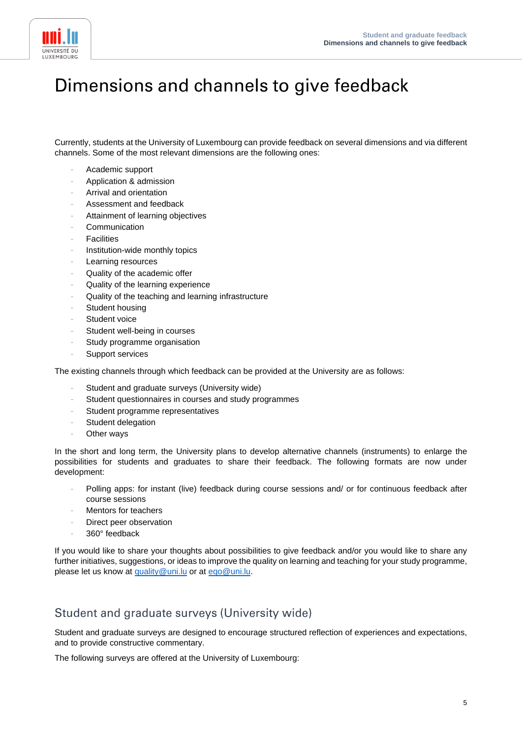

## <span id="page-4-0"></span>Dimensions and channels to give feedback

Currently, students at the University of Luxembourg can provide feedback on several dimensions and via different channels. Some of the most relevant dimensions are the following ones:

- Academic support
- Application & admission
- Arrival and orientation
- Assessment and feedback
- Attainment of learning objectives
- **Communication**
- **Facilities**
- Institution-wide monthly topics
- Learning resources
- Quality of the academic offer
- Quality of the learning experience
- Quality of the teaching and learning infrastructure
- Student housing
- Student voice
- Student well-being in courses
- Study programme organisation
- Support services

The existing channels through which feedback can be provided at the University are as follows:

- Student and graduate surveys (University wide)
- Student questionnaires in courses and study programmes
- Student programme representatives
- Student delegation
- Other ways

In the short and long term, the University plans to develop alternative channels (instruments) to enlarge the possibilities for students and graduates to share their feedback. The following formats are now under development:

- Polling apps: for instant (live) feedback during course sessions and/ or for continuous feedback after course sessions
- Mentors for teachers
- Direct peer observation
- 360° feedback

If you would like to share your thoughts about possibilities to give feedback and/or you would like to share any further initiatives, suggestions, or ideas to improve the quality on learning and teaching for your study programme, please let us know at [quality@uni.lu](mailto:quality@uni.lu) or at [eqo@uni.lu.](mailto:eqo@uni.lu)

### <span id="page-4-1"></span>Student and graduate surveys (University wide)

Student and graduate surveys are designed to encourage structured reflection of experiences and expectations, and to provide constructive commentary.

The following surveys are offered at the University of Luxembourg: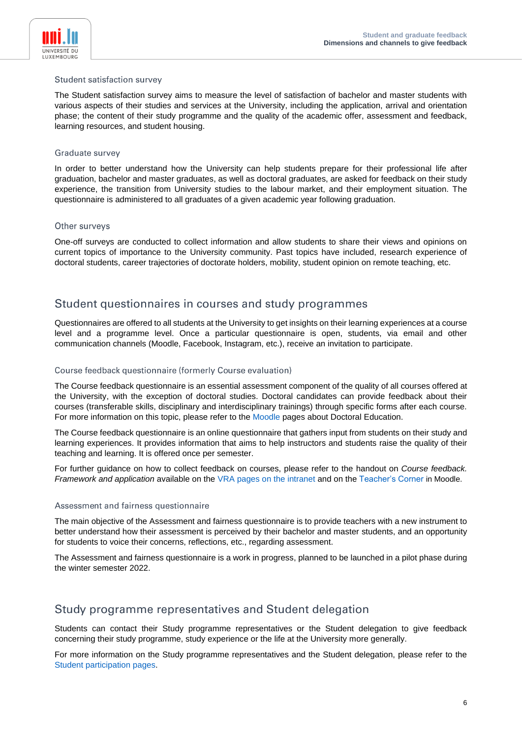

#### Student satisfaction survey

The Student satisfaction survey aims to measure the level of satisfaction of bachelor and master students with various aspects of their studies and services at the University, including the application, arrival and orientation phase; the content of their study programme and the quality of the academic offer, assessment and feedback, learning resources, and student housing.

#### Graduate survey

In order to better understand how the University can help students prepare for their professional life after graduation, bachelor and master graduates, as well as doctoral graduates, are asked for feedback on their study experience, the transition from University studies to the labour market, and their employment situation. The questionnaire is administered to all graduates of a given academic year following graduation.

#### Other surveys

One-off surveys are conducted to collect information and allow students to share their views and opinions on current topics of importance to the University community. Past topics have included, research experience of doctoral students, career trajectories of doctorate holders, mobility, student opinion on remote teaching, etc.

### <span id="page-5-0"></span>Student questionnaires in courses and study programmes

Questionnaires are offered to all students at the University to get insights on their learning experiences at a course level and a programme level. Once a particular questionnaire is open, students, via email and other communication channels (Moodle, Facebook, Instagram, etc.), receive an invitation to participate.

#### Course feedback questionnaire (formerly Course evaluation)

The Course feedback questionnaire is an essential assessment component of the quality of all courses offered at the University, with the exception of doctoral studies. Doctoral candidates can provide feedback about their courses (transferable skills, disciplinary and interdisciplinary trainings) through specific forms after each course. For more information on this topic, please refer to the [Moodle](https://moodle.uni.lu/course/index.php?categoryid=81) pages about Doctoral Education.

The Course feedback questionnaire is an online questionnaire that gathers input from students on their study and learning experiences. It provides information that aims to help instructors and students raise the quality of their teaching and learning. It is offered once per semester.

For further guidance on how to collect feedback on courses, please refer to the handout on *Course feedback. Framework and application* available on the [VRA pages on the intranet](https://intranet.uni.lux/the_university/tr/Pages/VRA-Documents.aspx) and on the [Teacher's Corner](https://moodle.uni.lu/course/view.php?id=3319) in Moodle.

#### Assessment and fairness questionnaire

The main objective of the Assessment and fairness questionnaire is to provide teachers with a new instrument to better understand how their assessment is perceived by their bachelor and master students, and an opportunity for students to voice their concerns, reflections, etc., regarding assessment.

The Assessment and fairness questionnaire is a work in progress, planned to be launched in a pilot phase during the winter semester 2022.

### <span id="page-5-1"></span>Study programme representatives and Student delegation

Students can contact their Study programme representatives or the Student delegation to give feedback concerning their study programme, study experience or the life at the University more generally.

For more information on the Study programme representatives and the Student delegation, please refer to the [Student participation pages.](https://wwwen.uni.lu/students/student_participation)